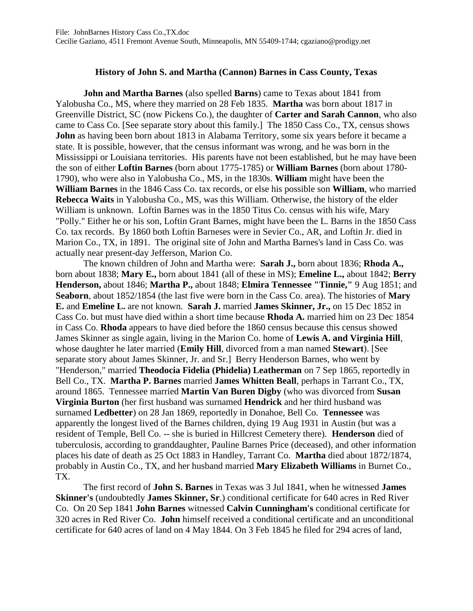## **History of John S. and Martha (Cannon) Barnes in Cass County, Texas**

**John and Martha Barnes** (also spelled **Barns**) came to Texas about 1841 from Yalobusha Co., MS, where they married on 28 Feb 1835. **Martha** was born about 1817 in Greenville District, SC (now Pickens Co.), the daughter of **Carter and Sarah Cannon**, who also came to Cass Co. [See separate story about this family.] The 1850 Cass Co., TX, census shows **John** as having been born about 1813 in Alabama Territory, some six years before it became a state. It is possible, however, that the census informant was wrong, and he was born in the Mississippi or Louisiana territories. His parents have not been established, but he may have been the son of either **Loftin Barnes** (born about 1775-1785) or **William Barnes** (born about 1780- 1790), who were also in Yalobusha Co., MS, in the 1830s. **William** might have been the **William Barnes** in the 1846 Cass Co. tax records, or else his possible son **William**, who married **Rebecca Waits** in Yalobusha Co., MS, was this William. Otherwise, the history of the elder William is unknown. Loftin Barnes was in the 1850 Titus Co. census with his wife, Mary "Polly." Either he or his son, Loftin Grant Barnes, might have been the L. Barns in the 1850 Cass Co. tax records. By 1860 both Loftin Barneses were in Sevier Co., AR, and Loftin Jr. died in Marion Co., TX, in 1891. The original site of John and Martha Barnes's land in Cass Co. was actually near present-day Jefferson, Marion Co.

The known children of John and Martha were: **Sarah J.,** born about 1836; **Rhoda A.,** born about 1838; **Mary E.,** born about 1841 (all of these in MS); **Emeline L.,** about 1842; **Berry Henderson,** about 1846; **Martha P.,** about 1848; **Elmira Tennessee "Tinnie,"** 9 Aug 1851; and **Seaborn**, about 1852/1854 (the last five were born in the Cass Co. area). The histories of **Mary E.** and **Emeline L.** are not known. **Sarah J.** married **James Skinner, Jr.,** on 15 Dec 1852 in Cass Co. but must have died within a short time because **Rhoda A.** married him on 23 Dec 1854 in Cass Co. **Rhoda** appears to have died before the 1860 census because this census showed James Skinner as single again, living in the Marion Co. home of **Lewis A. and Virginia Hill**, whose daughter he later married (**Emily Hill**, divorced from a man named **Stewart**). [See separate story about James Skinner, Jr. and Sr.] Berry Henderson Barnes, who went by "Henderson," married **Theodocia Fidelia (Phidelia) Leatherman** on 7 Sep 1865, reportedly in Bell Co., TX. **Martha P. Barnes** married **James Whitten Beall**, perhaps in Tarrant Co., TX, around 1865. Tennessee married **Martin Van Buren Digby** (who was divorced from **Susan Virginia Burton** (her first husband was surnamed **Hendrick** and her third husband was surnamed **Ledbetter**) on 28 Jan 1869, reportedly in Donahoe, Bell Co. **Tennessee** was apparently the longest lived of the Barnes children, dying 19 Aug 1931 in Austin (but was a resident of Temple, Bell Co. -- she is buried in Hillcrest Cemetery there). **Henderson** died of tuberculosis, according to granddaughter, Pauline Barnes Price (deceased), and other information places his date of death as 25 Oct 1883 in Handley, Tarrant Co. **Martha** died about 1872/1874, probably in Austin Co., TX, and her husband married **Mary Elizabeth Williams** in Burnet Co., TX.

The first record of **John S. Barnes** in Texas was 3 Jul 1841, when he witnessed **James Skinner's** (undoubtedly **James Skinner, Sr**.) conditional certificate for 640 acres in Red River Co. On 20 Sep 1841 **John Barnes** witnessed **Calvin Cunningham's** conditional certificate for 320 acres in Red River Co. **John** himself received a conditional certificate and an unconditional certificate for 640 acres of land on 4 May 1844. On 3 Feb 1845 he filed for 294 acres of land,